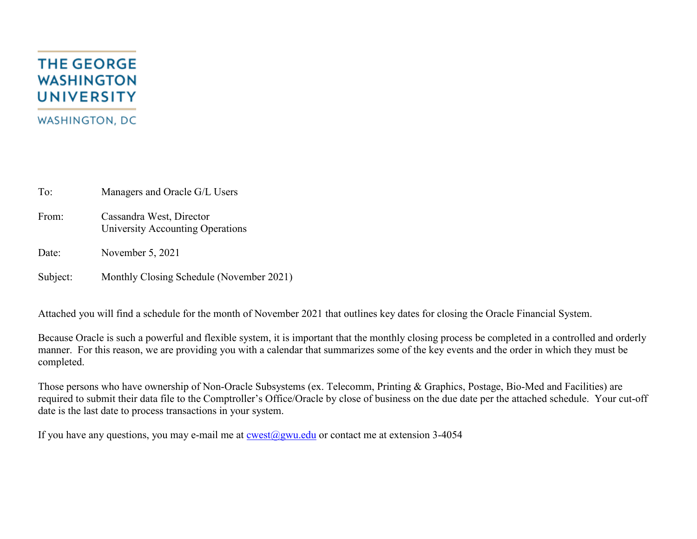## **THE GEORGE WASHINGTON UNIVERSITY WASHINGTON, DC**

To: Managers and Oracle G/L Users

From: Cassandra West, Director University Accounting Operations

Date: November 5, 2021

Subject: Monthly Closing Schedule (November 2021)

Attached you will find a schedule for the month of November 2021 that outlines key dates for closing the Oracle Financial System.

Because Oracle is such a powerful and flexible system, it is important that the monthly closing process be completed in a controlled and orderly manner. For this reason, we are providing you with a calendar that summarizes some of the key events and the order in which they must be completed.

Those persons who have ownership of Non-Oracle Subsystems (ex. Telecomm, Printing & Graphics, Postage, Bio-Med and Facilities) are required to submit their data file to the Comptroller's Office/Oracle by close of business on the due date per the attached schedule. Your cut-off date is the last date to process transactions in your system.

If you have any questions, you may e-mail me at  $\cos(\omega)$ gwu.edu or contact me at extension 3-4054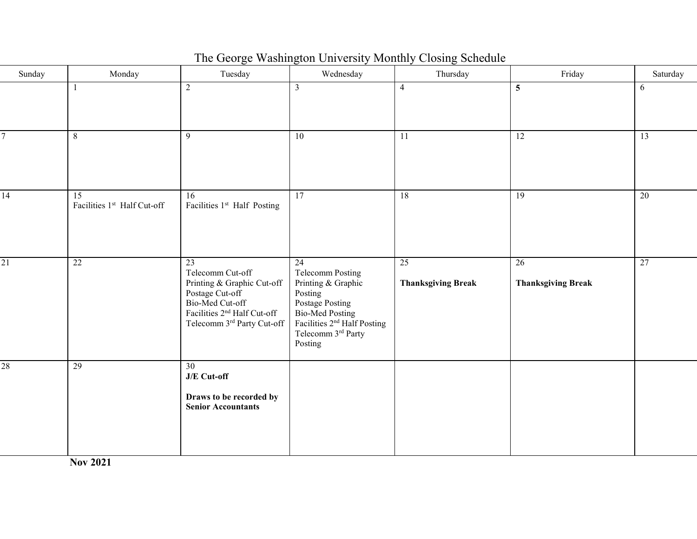| Sunday          | Monday                            | Tuesday                                                                                                                                                             | Wednesday                                                                                                                                                                        | Thursday                                     | Friday                                       | Saturday        |
|-----------------|-----------------------------------|---------------------------------------------------------------------------------------------------------------------------------------------------------------------|----------------------------------------------------------------------------------------------------------------------------------------------------------------------------------|----------------------------------------------|----------------------------------------------|-----------------|
|                 | $\overline{1}$                    | $\overline{2}$                                                                                                                                                      | $\mathfrak{Z}$                                                                                                                                                                   | $\overline{4}$                               | 5                                            | 6               |
| 7               | 8                                 | 9                                                                                                                                                                   | 10                                                                                                                                                                               | 11                                           | $\overline{12}$                              | $\overline{13}$ |
| $\overline{14}$ | 15<br>Facilities 1st Half Cut-off | 16<br>Facilities 1 <sup>st</sup> Half Posting                                                                                                                       | $\overline{17}$                                                                                                                                                                  | 18                                           | $\overline{19}$                              | 20              |
| $\overline{21}$ | 22                                | 23<br>Telecomm Cut-off<br>Printing & Graphic Cut-off<br>Postage Cut-off<br>Bio-Med Cut-off<br>Facilities 2 <sup>nd</sup> Half Cut-off<br>Telecomm 3rd Party Cut-off | 24<br>Telecomm Posting<br>Printing & Graphic<br>Posting<br>Postage Posting<br><b>Bio-Med Posting</b><br>Facilities 2 <sup>nd</sup> Half Posting<br>Telecomm 3rd Party<br>Posting | $\overline{25}$<br><b>Thanksgiving Break</b> | $\overline{26}$<br><b>Thanksgiving Break</b> | $\overline{27}$ |
| $\overline{28}$ | 29                                | 30<br>J/E Cut-off<br>Draws to be recorded by<br><b>Senior Accountants</b>                                                                                           |                                                                                                                                                                                  |                                              |                                              |                 |

The George Washington University Monthly Closing Schedule

**Nov 2021**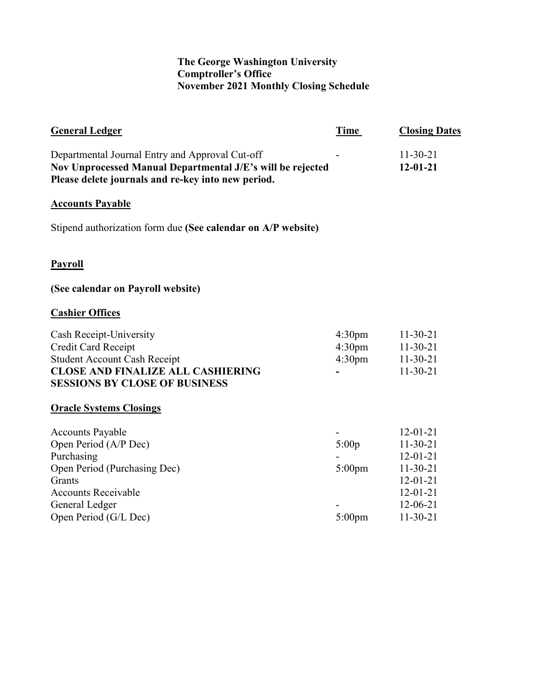## **The George Washington University Comptroller's Office November 2021 Monthly Closing Schedule**

| <b>General Ledger</b>                                                                                                                                                             | Time                                                           | <b>Closing Dates</b>                                                                                                             |
|-----------------------------------------------------------------------------------------------------------------------------------------------------------------------------------|----------------------------------------------------------------|----------------------------------------------------------------------------------------------------------------------------------|
| Departmental Journal Entry and Approval Cut-off<br>Nov Unprocessed Manual Departmental J/E's will be rejected<br>Please delete journals and re-key into new period.               |                                                                | $11-30-21$<br>$12 - 01 - 21$                                                                                                     |
| <b>Accounts Payable</b>                                                                                                                                                           |                                                                |                                                                                                                                  |
| Stipend authorization form due (See calendar on A/P website)                                                                                                                      |                                                                |                                                                                                                                  |
| <b>Payroll</b>                                                                                                                                                                    |                                                                |                                                                                                                                  |
| (See calendar on Payroll website)                                                                                                                                                 |                                                                |                                                                                                                                  |
| <b>Cashier Offices</b>                                                                                                                                                            |                                                                |                                                                                                                                  |
| Cash Receipt-University<br>Credit Card Receipt<br><b>Student Account Cash Receipt</b><br><b>CLOSE AND FINALIZE ALL CASHIERING</b><br><b>SESSIONS BY CLOSE OF BUSINESS</b>         | 4:30 <sub>pm</sub><br>4:30 <sub>pm</sub><br>4:30 <sub>pm</sub> | $11-30-21$<br>$11-30-21$<br>$11-30-21$<br>$11-30-21$                                                                             |
| <b>Oracle Systems Closings</b>                                                                                                                                                    |                                                                |                                                                                                                                  |
| <b>Accounts Payable</b><br>Open Period (A/P Dec)<br>Purchasing<br>Open Period (Purchasing Dec)<br>Grants<br><b>Accounts Receivable</b><br>General Ledger<br>Open Period (G/L Dec) | 5:00p<br>$5:00$ pm<br>$5:00$ pm                                | $12 - 01 - 21$<br>$11-30-21$<br>$12 - 01 - 21$<br>$11-30-21$<br>$12 - 01 - 21$<br>$12 - 01 - 21$<br>$12 - 06 - 21$<br>$11-30-21$ |